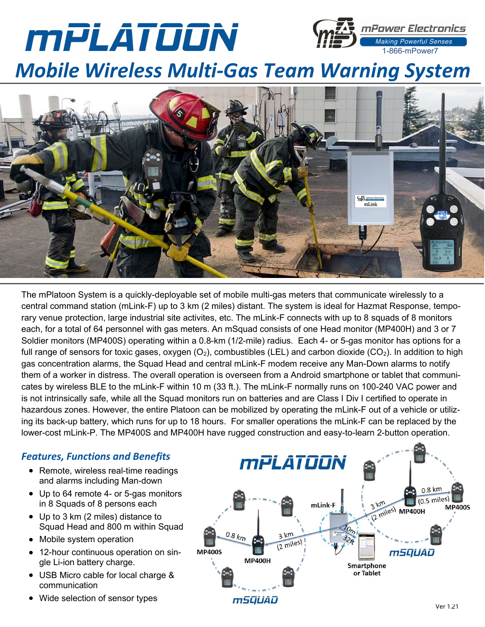



# Mobile Wireless Multi-Gas Team Warning System



The mPlatoon System is a quickly-deployable set of mobile multi-gas meters that communicate wirelessly to a central command station (mLink-F) up to 3 km (2 miles) distant. The system is ideal for Hazmat Response, temporary venue protection, large industrial site activites, etc. The mLink-F connects with up to 8 squads of 8 monitors each, for a total of 64 personnel with gas meters. An mSquad consists of one Head monitor (MP400H) and 3 or 7 Soldier monitors (MP400S) operating within a 0.8-km (1/2-mile) radius. Each 4- or 5-gas monitor has options for a full range of sensors for toxic gases, oxygen  $(O_2)$ , combustibles (LEL) and carbon dioxide (CO<sub>2</sub>). In addition to high gas concentration alarms, the Squad Head and central mLink-F modem receive any Man-Down alarms to notify them of a worker in distress. The overall operation is overseen from a Android smartphone or tablet that communicates by wireless BLE to the mLink-F within 10 m (33 ft.). The mLink-F normally runs on 100-240 VAC power and is not intrinsically safe, while all the Squad monitors run on batteries and are Class I Div I certified to operate in hazardous zones. However, the entire Platoon can be mobilized by operating the mLink-F out of a vehicle or utilizing its back-up battery, which runs for up to 18 hours. For smaller operations the mLink-F can be replaced by the lower-cost mLink-P. The MP400S and MP400H have rugged construction and easy-to-learn 2-button operation.

### Features, Functions and Benefits

- Remote, wireless real-time readings and alarms including Man-down
- Up to 64 remote 4- or 5-gas monitors in 8 Squads of 8 persons each
- Up to 3 km (2 miles) distance to Squad Head and 800 m within Squad
- Mobile system operation
- 12-hour continuous operation on single Li-ion battery charge.
- USB Micro cable for local charge & communication
- Wide selection of sensor types